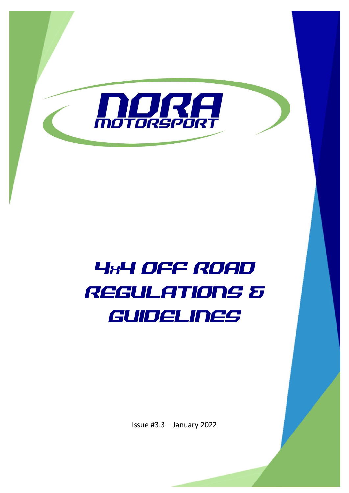

# 4X4 OFF ROAD REGULATIONS & GUIDELINES

Issue #3.3 – January 2022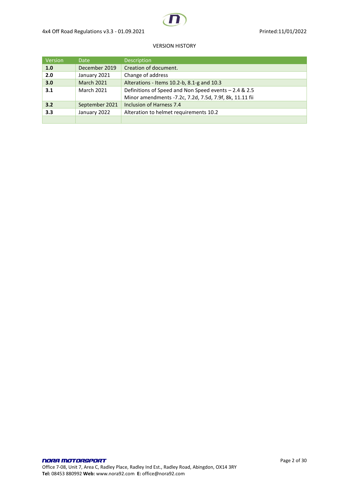

#### VERSION HISTORY

| Version | <b>Date</b>       | Description                                             |
|---------|-------------------|---------------------------------------------------------|
| 1.0     | December 2019     | Creation of document.                                   |
| 2.0     | January 2021      | Change of address                                       |
| 3.0     | <b>March 2021</b> | Alterations - Items 10.2-b, 8.1-g and 10.3              |
| 3.1     | <b>March 2021</b> | Definitions of Speed and Non Speed events - 2.4 & 2.5   |
|         |                   | Minor amendments -7.2c, 7.2d, 7.5d, 7.9f, 8k, 11.11 fii |
| 3.2     | September 2021    | Inclusion of Harness 7.4                                |
| 3.3     | January 2022      | Alteration to helmet requirements 10.2                  |
|         |                   |                                                         |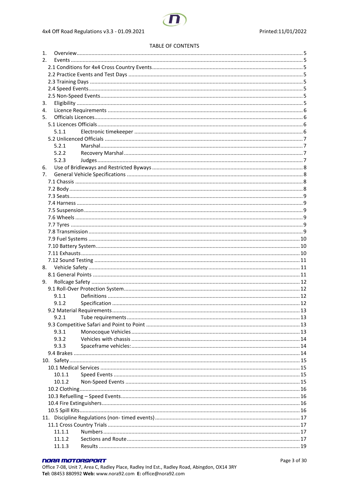#### **TABLE OF CONTENTS**

| 1. |        |  |
|----|--------|--|
| 2. |        |  |
|    |        |  |
|    |        |  |
|    |        |  |
|    |        |  |
|    |        |  |
| 3. |        |  |
| 4. |        |  |
| 5. |        |  |
|    |        |  |
|    | 5.1.1  |  |
|    |        |  |
|    | 5.2.1  |  |
|    | 5.2.2  |  |
|    | 5.2.3  |  |
| 6. |        |  |
| 7. |        |  |
|    |        |  |
|    |        |  |
|    |        |  |
|    |        |  |
|    |        |  |
|    |        |  |
|    |        |  |
|    |        |  |
|    |        |  |
|    |        |  |
|    |        |  |
|    |        |  |
| 8. |        |  |
|    |        |  |
| 9. |        |  |
|    |        |  |
|    | 9.1.1  |  |
|    | 9.1.2  |  |
|    |        |  |
|    | 9.2.1  |  |
|    |        |  |
|    | 9.3.1  |  |
|    | 9.3.2  |  |
|    | 9.3.3  |  |
|    |        |  |
|    |        |  |
|    |        |  |
|    | 10.1.1 |  |
|    | 10.1.2 |  |
|    |        |  |
|    |        |  |
|    |        |  |
|    |        |  |
|    |        |  |
|    |        |  |
|    | 11.1.1 |  |
|    | 11.1.2 |  |
|    | 11.1.3 |  |
|    |        |  |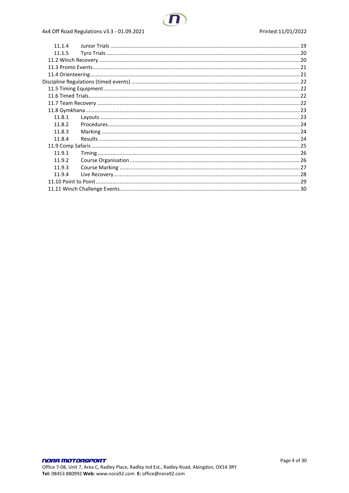## 4x4 Off Road Regulations v3.3 - 01.09.2021

| 11.1.4 |  |
|--------|--|
| 11.1.5 |  |
|        |  |
|        |  |
|        |  |
|        |  |
|        |  |
|        |  |
|        |  |
|        |  |
| 11.8.1 |  |
| 11.8.2 |  |
| 11.8.3 |  |
| 11.8.4 |  |
|        |  |
| 11.9.1 |  |
| 11.9.2 |  |
| 11.9.3 |  |
| 11.9.4 |  |
|        |  |
|        |  |
|        |  |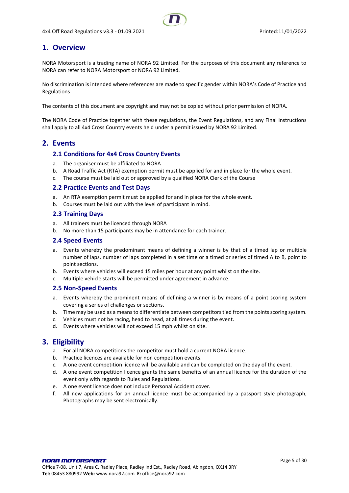# <span id="page-4-0"></span>**1. Overview**

NORA Motorsport is a trading name of NORA 92 Limited. For the purposes of this document any reference to NORA can refer to NORA Motorsport or NORA 92 Limited.

No discrimination is intended where references are made to specific gender within NORA's Code of Practice and Regulations

The contents of this document are copyright and may not be copied without prior permission of NORA.

The NORA Code of Practice together with these regulations, the Event Regulations, and any Final Instructions shall apply to all 4x4 Cross Country events held under a permit issued by NORA 92 Limited.

## <span id="page-4-2"></span><span id="page-4-1"></span>**2. Events**

#### **2.1 Conditions for 4x4 Cross Country Events**

- a. The organiser must be affiliated to NORA
- b. A Road Traffic Act (RTA) exemption permit must be applied for and in place for the whole event.
- c. The course must be laid out or approved by a qualified NORA Clerk of the Course

#### <span id="page-4-3"></span>**2.2 Practice Events and Test Days**

- a. An RTA exemption permit must be applied for and in place for the whole event.
- b. Courses must be laid out with the level of participant in mind.

#### <span id="page-4-4"></span>**2.3 Training Days**

- a. All trainers must be licenced through NORA
- b. No more than 15 participants may be in attendance for each trainer.

#### <span id="page-4-5"></span>**2.4 Speed Events**

- a. Events whereby the predominant means of defining a winner is by that of a timed lap or multiple number of laps, number of laps completed in a set time or a timed or series of timed A to B, point to point sections.
- b. Events where vehicles will exceed 15 miles per hour at any point whilst on the site.
- c. Multiple vehicle starts will be permitted under agreement in advance.

#### <span id="page-4-6"></span>**2.5 Non-Speed Events**

- a. Events whereby the prominent means of defining a winner is by means of a point scoring system covering a series of challenges or sections.
- b. Time may be used as a means to differentiate between competitors tied from the points scoring system.
- c. Vehicles must not be racing, head to head, at all times during the event.
- d. Events where vehicles will not exceed 15 mph whilst on site.

## <span id="page-4-7"></span>**3. Eligibility**

- a. For all NORA competitions the competitor must hold a current NORA licence.
- b. Practice licences are available for non competition events.
- c. A one event competition licence will be available and can be completed on the day of the event.
- d. A one event competition licence grants the same benefits of an annual licence for the duration of the event only with regards to Rules and Regulations.
- e. A one event licence does not include Personal Accident cover.
- f. All new applications for an annual licence must be accompanied by a passport style photograph, Photographs may be sent electronically.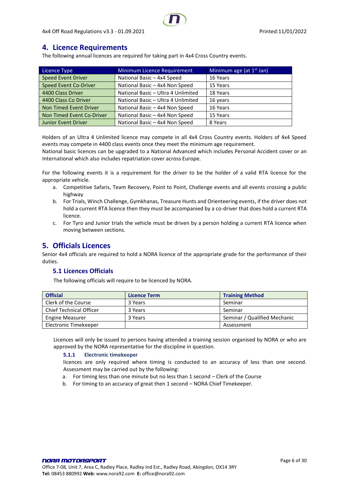# <span id="page-5-0"></span>**4. Licence Requirements**

The following annual licences are required for taking part in 4x4 Cross Country events.

| Licence Type              | <b>Minimum Licence Requirement</b> | Minimum age (at $1st$ Jan) |
|---------------------------|------------------------------------|----------------------------|
| Speed Event Driver        | National Basic - 4x4 Speed         | 16 Years                   |
| Speed Event Co-Driver     | National Basic - 4x4 Non Speed     | 15 Years                   |
| 4400 Class Driver         | National Basic - Ultra 4 Unlimited | 18 Years                   |
| 4400 Class Co Driver      | National Basic - Ultra 4 Unlimited | 16 years                   |
| Non Timed Event Driver    | National Basic - 4x4 Non Speed     | 16 Years                   |
| Non Timed Event Co-Driver | National Basic - 4x4 Non Speed     | 15 Years                   |
| Junior Event Driver       | National Basic - 4x4 Non Speed     | 8 Years                    |

Holders of an Ultra 4 Unlimited licence may compete in all 4x4 Cross Country events. Holders of 4x4 Speed events may compete in 4400 class events once they meet the minimum age requirement.

National basic licences can be upgraded to a National Advanced which includes Personal Accident cover or an International which also includes repatriation cover across Europe.

For the following events it is a requirement for the driver to be the holder of a valid RTA licence for the appropriate vehicle.

- a. Competitive Safaris, Team Recovery, Point to Point, Challenge events and all events crossing a public highway
- b. For Trials, Winch Challenge, Gymkhanas, Treasure Hunts and Orienteering events, if the driver does not hold a current RTA licence then they must be accompanied by a co-driver that does hold a current RTA licence.
- c. For Tyro and Junior trials the vehicle must be driven by a person holding a current RTA licence when moving between sections.

## <span id="page-5-1"></span>**5. Officials Licences**

Senior 4x4 officials are required to hold a NORA licence of the appropriate grade for the performance of their duties.

## <span id="page-5-2"></span>**5.1 Licences Officials**

The following officials will require to be licenced by NORA.

| <b>Official</b>                | <b>Licence Term</b> | <b>Training Method</b>       |
|--------------------------------|---------------------|------------------------------|
| Clerk of the Course            | 3 Years             | Seminar                      |
| <b>Chief Technical Officer</b> | 3 Years             | Seminar                      |
| <b>Engine Measurer</b>         | 3 Years             | Seminar / Qualified Mechanic |
| Electronic Timekeeper          |                     | Assessment                   |

<span id="page-5-3"></span>Licences will only be issued to persons having attended a training session organised by NORA or who are approved by the NORA representative for the discipline in question.

#### **5.1.1 Electronic timekeeper**

licences are only required where timing is conducted to an accuracy of less than one second. Assessment may be carried out by the following:

- a. For timing less than one minute but no less than 1 second Clerk of the Course
- b. For timing to an accuracy of great then 1 second NORA Chief Timekeeper.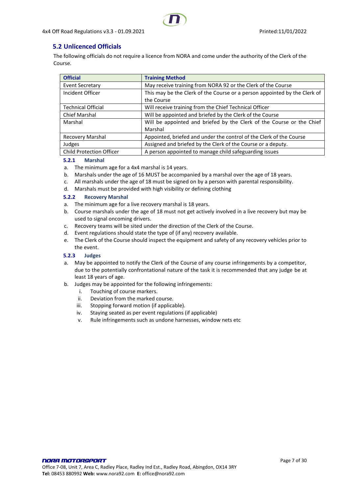## <span id="page-6-0"></span>**5.2 Unlicenced Officials**

The following officials do not require a licence from NORA and come under the authority of the Clerk of the Course.

| <b>Official</b>                 | <b>Training Method</b>                                                    |
|---------------------------------|---------------------------------------------------------------------------|
| <b>Event Secretary</b>          | May receive training from NORA 92 or the Clerk of the Course              |
| Incident Officer                | This may be the Clerk of the Course or a person appointed by the Clerk of |
|                                 | the Course                                                                |
| Technical Official              | Will receive training from the Chief Technical Officer                    |
| <b>Chief Marshal</b>            | Will be appointed and briefed by the Clerk of the Course                  |
| Marshal                         | Will be appointed and briefed by the Clerk of the Course or the Chief     |
|                                 | Marshal                                                                   |
| Recovery Marshal                | Appointed, briefed and under the control of the Clerk of the Course       |
| Judges                          | Assigned and briefed by the Clerk of the Course or a deputy.              |
| <b>Child Protection Officer</b> | A person appointed to manage child safeguarding issues                    |

#### <span id="page-6-1"></span>**5.2.1 Marshal**

- a. The minimum age for a 4x4 marshal is 14 years.
- b. Marshals under the age of 16 MUST be accompanied by a marshal over the age of 18 years.
- c. All marshals under the age of 18 must be signed on by a person with parental responsibility.
- d. Marshals must be provided with high visibility or defining clothing

#### <span id="page-6-2"></span>**5.2.2 Recovery Marshal**

- a. The minimum age for a live recovery marshal is 18 years.
- b. Course marshals under the age of 18 must not get actively involved in a live recovery but may be used to signal oncoming drivers.
- c. Recovery teams will be sited under the direction of the Clerk of the Course.
- d. Event regulations should state the type of (if any) recovery available.
- e. The Clerk of the Course should inspect the equipment and safety of any recovery vehicles prior to the event.

#### <span id="page-6-3"></span>**5.2.3 Judges**

- a. May be appointed to notify the Clerk of the Course of any course infringements by a competitor, due to the potentially confrontational nature of the task it is recommended that any judge be at least 18 years of age.
- b. Judges may be appointed for the following infringements:
	- i. Touching of course markers.
	- ii. Deviation from the marked course.
	- iii. Stopping forward motion (if applicable).
	- iv. Staying seated as per event regulations (if applicable)
	- v. Rule infringements such as undone harnesses, window nets etc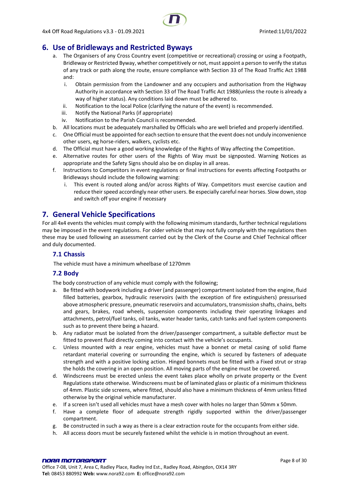## <span id="page-7-0"></span>**6. Use of Bridleways and Restricted Byways**

- a. The Organisers of any Cross Country event (competitive or recreational) crossing or using a Footpath, Bridleway or Restricted Byway, whether competitively or not, must appoint a person to verify the status of any track or path along the route, ensure compliance with Section 33 of The Road Traffic Act 1988 and:
	- i. Obtain permission from the Landowner and any occupiers and authorisation from the Highway Authority in accordance with Section 33 of The Road Traffic Act 1988(unless the route is already a way of higher status). Any conditions laid down must be adhered to.
	- ii. Notification to the local Police (clarifying the nature of the event) is recommended.
	- iii. Notify the National Parks (if appropriate)
	- iv. Notification to the Parish Council is recommended.
- b. All locations must be adequately marshalled by Officials who are well briefed and properly identified.
- c. One Official must be appointed for each section to ensure that the event does not unduly inconvenience other users, eg horse-riders, walkers, cyclists etc.
- d. The Official must have a good working knowledge of the Rights of Way affecting the Competition.
- e. Alternative routes for other users of the Rights of Way must be signposted. Warning Notices as appropriate and the Safety Signs should also be on display in all areas.
- f. Instructions to Competitors in event regulations or final instructions for events affecting Footpaths or Bridleways should include the following warning:
	- i. This event is routed along and/or across Rights of Way. Competitors must exercise caution and reduce their speed accordingly near other users. Be especially careful near horses. Slow down, stop and switch off your engine if necessary

## <span id="page-7-1"></span>**7. General Vehicle Specifications**

For all 4x4 events the vehicles must comply with the following minimum standards, further technical regulations may be imposed in the event regulations. For older vehicle that may not fully comply with the regulations then these may be used following an assessment carried out by the Clerk of the Course and Chief Technical officer and duly documented.

#### <span id="page-7-2"></span>**7.1 Chassis**

The vehicle must have a minimum wheelbase of 1270mm

## <span id="page-7-3"></span>**7.2 Body**

The body construction of any vehicle must comply with the following;

- a. Be fitted with bodywork including a driver (and passenger) compartment isolated from the engine, fluid filled batteries, gearbox, hydraulic reservoirs (with the exception of fire extinguishers) pressurised above atmospheric pressure, pneumatic reservoirs and accumulators, transmission shafts, chains, belts and gears, brakes, road wheels, suspension components including their operating linkages and attachments, petrol/fuel tanks, oil tanks, water header tanks, catch tanks and fuel system components such as to prevent there being a hazard.
- b. Any radiator must be isolated from the driver/passenger compartment, a suitable deflector must be fitted to prevent fluid directly coming into contact with the vehicle's occupants.
- c. Unless mounted with a rear engine, vehicles must have a bonnet or metal casing of solid flame retardant material covering or surrounding the engine, which is secured by fasteners of adequate strength and with a positive locking action. Hinged bonnets must be fitted with a Fixed strut or strap the holds the covering in an open position. All moving parts of the engine must be covered.
- d. Windscreens must be erected unless the event takes place wholly on private property or the Event Regulations state otherwise. Windscreens must be of laminated glass or plastic of a minimum thickness of 4mm. Plastic side screens, where fitted, should also have a minimum thickness of 4mm unless fitted otherwise by the original vehicle manufacturer.
- e. If a screen isn't used all vehicles must have a mesh cover with holes no larger than 50mm x 50mm.
- f. Have a complete floor of adequate strength rigidly supported within the driver/passenger compartment.
- g. Be constructed in such a way as there is a clear extraction route for the occupants from either side.
- h. All access doors must be securely fastened whilst the vehicle is in motion throughout an event.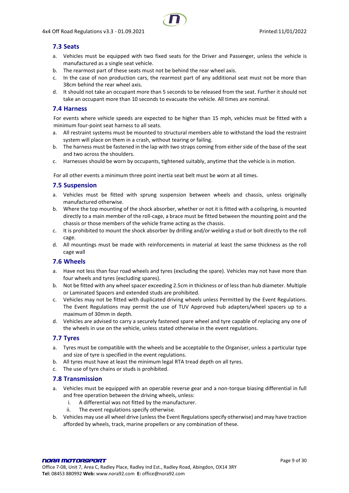## <span id="page-8-0"></span>**7.3 Seats**

- a. Vehicles must be equipped with two fixed seats for the Driver and Passenger, unless the vehicle is manufactured as a single seat vehicle.
- b. The rearmost part of these seats must not be behind the rear wheel axis.
- c. In the case of non production cars, the rearmost part of any additional seat must not be more than 38cm behind the rear wheel axis.
- d. It should not take an occupant more than 5 seconds to be released from the seat. Further it should not take an occupant more than 10 seconds to evacuate the vehicle. All times are nominal.

#### <span id="page-8-1"></span>**7.4 Harness**

For events where vehicle speeds are expected to be higher than 15 mph, vehicles must be fitted with a minimum four-point seat harness to all seats.

- a. All restraint systems must be mounted to structural members able to withstand the load the restraint system will place on them in a crash, without tearing or failing.
- b. The harness must be fastened in the lap with two straps coming from either side of the base of the seat and two across the shoulders.
- c. Harnesses should be worn by occupants, tightened suitably, anytime that the vehicle is in motion.

For all other events a minimum three point inertia seat belt must be worn at all times.

#### <span id="page-8-2"></span>**7.5 Suspension**

- a. Vehicles must be fitted with sprung suspension between wheels and chassis, unless originally manufactured otherwise.
- b. Where the top mounting of the shock absorber, whether or not it is fitted with a coilspring, is mounted directly to a main member of the roll-cage, a brace must be fitted between the mounting point and the chassis or those members of the vehicle frame acting as the chassis.
- c. It is prohibited to mount the shock absorber by drilling and/or welding a stud or bolt directly to the roll cage.
- d. All mountings must be made with reinforcements in material at least the same thickness as the roll cage wall

## <span id="page-8-3"></span>**7.6 Wheels**

- a. Have not less than four road wheels and tyres (excluding the spare). Vehicles may not have more than four wheels and tyres (excluding spares).
- b. Not be fitted with any wheel spacer exceeding 2.5cm in thickness or of less than hub diameter. Multiple or Laminated Spacers and extended studs are prohibited.
- c. Vehicles may not be fitted with duplicated driving wheels unless Permitted by the Event Regulations. The Event Regulations may permit the use of TUV Approved hub adapters/wheel spacers up to a maximum of 30mm in depth.
- d. Vehicles are advised to carry a securely fastened spare wheel and tyre capable of replacing any one of the wheels in use on the vehicle, unless stated otherwise in the event regulations.

#### <span id="page-8-4"></span>**7.7 Tyres**

- a. Tyres must be compatible with the wheels and be acceptable to the Organiser, unless a particular type and size of tyre is specified in the event regulations.
- b. All tyres must have at least the minimum legal RTA tread depth on all tyres.
- c. The use of tyre chains or studs is prohibited.

#### <span id="page-8-5"></span>**7.8 Transmission**

- a. Vehicles must be equipped with an operable reverse gear and a non-torque biasing differential in full and free operation between the driving wheels, unless:
	- i. A differential was not fitted by the manufacturer.
	- ii. The event regulations specify otherwise.
- b. Vehicles may use all wheel drive (unless the Event Regulations specify otherwise) and may have traction afforded by wheels, track, marine propellers or any combination of these.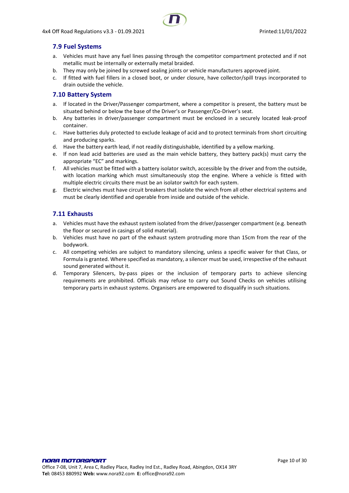## <span id="page-9-0"></span>**7.9 Fuel Systems**

- a. Vehicles must have any fuel lines passing through the competitor compartment protected and if not metallic must be internally or externally metal braided.
- b. They may only be joined by screwed sealing joints or vehicle manufacturers approved joint.
- c. If fitted with fuel fillers in a closed boot, or under closure, have collector/spill trays incorporated to drain outside the vehicle.

## <span id="page-9-1"></span>**7.10 Battery System**

- a. If located in the Driver/Passenger compartment, where a competitor is present, the battery must be situated behind or below the base of the Driver's or Passenger/Co-Driver's seat.
- b. Any batteries in driver/passenger compartment must be enclosed in a securely located leak-proof container.
- c. Have batteries duly protected to exclude leakage of acid and to protect terminals from short circuiting and producing sparks.
- d. Have the battery earth lead, if not readily distinguishable, identified by a yellow marking.
- e. If non lead acid batteries are used as the main vehicle battery, they battery pack(s) must carry the appropriate "EC" and markings.
- f. All vehicles must be fitted with a battery isolator switch, accessible by the driver and from the outside, with location marking which must simultaneously stop the engine. Where a vehicle is fitted with multiple electric circuits there must be an isolator switch for each system.
- g. Electric winches must have circuit breakers that isolate the winch from all other electrical systems and must be clearly identified and operable from inside and outside of the vehicle.

## <span id="page-9-2"></span>**7.11 Exhausts**

- a. Vehicles must have the exhaust system isolated from the driver/passenger compartment (e.g. beneath the floor or secured in casings of solid material).
- b. Vehicles must have no part of the exhaust system protruding more than 15cm from the rear of the bodywork.
- c. All competing vehicles are subject to mandatory silencing, unless a specific waiver for that Class, or Formula is granted. Where specified as mandatory, a silencer must be used, irrespective of the exhaust sound generated without it.
- <span id="page-9-3"></span>d. Temporary Silencers, by-pass pipes or the inclusion of temporary parts to achieve silencing requirements are prohibited. Officials may refuse to carry out Sound Checks on vehicles utilising temporary parts in exhaust systems. Organisers are empowered to disqualify in such situations.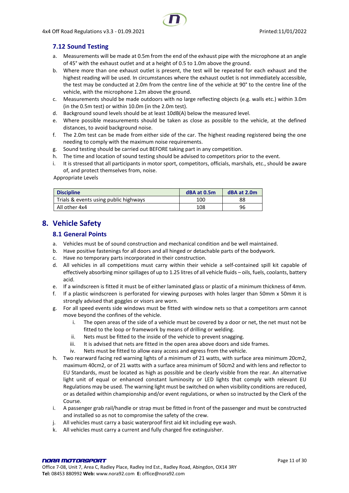## **7.12 Sound Testing**

- a. Measurements will be made at 0.5m from the end of the exhaust pipe with the microphone at an angle of 45° with the exhaust outlet and at a height of 0.5 to 1.0m above the ground.
- b. Where more than one exhaust outlet is present, the test will be repeated for each exhaust and the highest reading will be used. In circumstances where the exhaust outlet is not immediately accessible, the test may be conducted at 2.0m from the centre line of the vehicle at 90° to the centre line of the vehicle, with the microphone 1.2m above the ground.
- c. Measurements should be made outdoors with no large reflecting objects (e.g. walls etc.) within 3.0m (in the 0.5m test) or within 10.0m (in the 2.0m test).
- d. Background sound levels should be at least 10dB(A) below the measured level.
- e. Where possible measurements should be taken as close as possible to the vehicle, at the defined distances, to avoid background noise.
- f. The 2.0m test can be made from either side of the car. The highest reading registered being the one needing to comply with the maximum noise requirements.
- g. Sound testing should be carried out BEFORE taking part in any competition.
- h. The time and location of sound testing should be advised to competitors prior to the event.
- i. It is stressed that all participants in motor sport, competitors, officials, marshals, etc., should be aware of, and protect themselves from, noise.

Appropriate Levels

| <b>Discipline</b>                     | dBA at 0.5m | dBA at 2.0m |
|---------------------------------------|-------------|-------------|
| Trials & events using public highways | 100         | 88          |
| All other 4x4                         | 108         | 96          |

# <span id="page-10-1"></span><span id="page-10-0"></span>**8. Vehicle Safety**

## **8.1 General Points**

- a. Vehicles must be of sound construction and mechanical condition and be well maintained.
- b. Have positive fastenings for all doors and all hinged or detachable parts of the bodywork.
- c. Have no temporary parts incorporated in their construction.
- d. All vehicles in all competitions must carry within their vehicle a self-contained spill kit capable of effectively absorbing minor spillages of up to 1.25 litres of all vehicle fluids – oils, fuels, coolants, battery acid.
- e. If a windscreen is fitted it must be of either laminated glass or plastic of a minimum thickness of 4mm.
- f. If a plastic windscreen is perforated for viewing purposes with holes larger than 50mm x 50mm it is strongly advised that goggles or visors are worn.
- g. For all speed events side windows must be fitted with window nets so that a competitors arm cannot move beyond the confines of the vehicle.
	- i. The open areas of the side of a vehicle must be covered by a door or net, the net must not be fitted to the loop or framework by means of drilling or welding.
	- ii. Nets must be fitted to the inside of the vehicle to prevent snagging.
	- iii. It is advised that nets are fitted in the open area above doors and side frames.
	- iv. Nets must be fitted to allow easy access and egress from the vehicle.
- h. Two rearward facing red warning lights of a minimum of 21 watts, with surface area minimum 20cm2, maximum 40cm2, or of 21 watts with a surface area minimum of 50cm2 and with lens and reflector to EU Standards, must be located as high as possible and be clearly visible from the rear. An alternative light unit of equal or enhanced constant luminosity or LED lights that comply with relevant EU Regulations may be used. The warning light must be switched on when visibility conditions are reduced, or as detailed within championship and/or event regulations, or when so instructed by the Clerk of the Course.
- i. A passenger grab rail/handle or strap must be fitted in front of the passenger and must be constructed and installed so as not to compromise the safety of the crew.
- j. All vehicles must carry a basic waterproof first aid kit including eye wash.
- k. All vehicles must carry a current and fully charged fire extinguisher.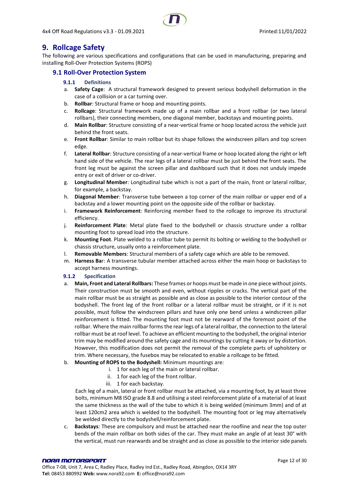4x4 Off Road Regulations v3.3 - 01.09.2021 Printed:11/01/2022

# <span id="page-11-0"></span>**9. Rollcage Safety**

The following are various specifications and configurations that can be used in manufacturing, preparing and installing Roll-Over Protection Systems (ROPS)

## <span id="page-11-2"></span><span id="page-11-1"></span>**9.1 Roll-Over Protection System**

#### **9.1.1 Definitions**

- a. **Safety Cage**: A structural framework designed to prevent serious bodyshell deformation in the case of a collision or a car turning over.
- b. **Rollbar**: Structural frame or hoop and mounting points.
- c. **Rollcage**: Structural framework made up of a main rollbar and a front rollbar (or two lateral rollbars), their connecting members, one diagonal member, backstays and mounting points.
- d. **Main Rollbar**: Structure consisting of a near-vertical frame or hoop located across the vehicle just behind the front seats.
- e. **Front Rollbar**: Similar to main rollbar but its shape follows the windscreen pillars and top screen edge.
- f. **Lateral Rollbar**: Structure consisting of a near-vertical frame or hoop located along the right or left hand side of the vehicle. The rear legs of a lateral rollbar must be just behind the front seats. The front leg must be against the screen pillar and dashboard such that it does not unduly impede entry or exit of driver or co-driver.
- g. **Longitudinal Member**: Longitudinal tube which is not a part of the main, front or lateral rollbar, for example, a backstay.
- h. **Diagonal Member**: Transverse tube between a top corner of the main rollbar or upper end of a backstay and a lower mounting point on the opposite side of the rollbar or backstay.
- i. **Framework Reinforcement**: Reinforcing member fixed to the rollcage to improve its structural efficiency.
- j. **Reinforcement Plate**: Metal plate fixed to the bodyshell or chassis structure under a rollbar mounting foot to spread load into the structure.
- k. **Mounting Foot**. Plate welded to a rollbar tube to permit its bolting or welding to the bodyshell or chassis structure, usually onto a reinforcement plate.
- l. **Removable Members**: Structural members of a safety cage which are able to be removed.
- m. **Harness Ba**r: A transverse tubular member attached across either the main hoop or backstays to accept harness mountings.

#### <span id="page-11-3"></span>**9.1.2 Specification**

- a. **Main, Front and Lateral Rollbars:** These frames or hoops must be made in one piece without joints. Their construction must be smooth and even, without ripples or cracks. The vertical part of the main rollbar must be as straight as possible and as close as possible to the interior contour of the bodyshell. The front leg of the front rollbar or a lateral rollbar must be straight, or if it is not possible, must follow the windscreen pillars and have only one bend unless a windscreen pillar reinforcement is fitted. The mounting foot must not be rearward of the foremost point of the rollbar. Where the main rollbar forms the rear legs of a lateral rollbar, the connection to the lateral rollbar must be at roof level. To achieve an efficient mounting to the bodyshell, the original interior trim may be modified around the safety cage and its mountings by cutting it away or by distortion. However, this modification does not permit the removal of the complete parts of upholstery or trim. Where necessary, the fusebox may be relocated to enable a rollcage to be fitted.
- b. **Mounting of ROPS to the Bodyshell:** Minimum mountings are:
	- i. 1 for each leg of the main or lateral rollbar.
	- ii. 1 for each leg of the front rollbar.
	- iii. 1 for each backstay.

Each leg of a main, lateral or front rollbar must be attached, via a mounting foot, by at least three bolts, minimum M8 ISO grade 8.8 and utilising a steel reinforcement plate of a material of at least the same thickness as the wall of the tube to which it is being welded (minimum 3mm) and of at least 120cm2 area which is welded to the bodyshell. The mounting foot or leg may alternatively be welded directly to the bodyshell/reinforcement plate.

c. **Backstays**: These are compulsory and must be attached near the roofline and near the top outer bends of the main rollbar on both sides of the car. They must make an angle of at least 30° with the vertical, must run rearwards and be straight and as close as possible to the interior side panels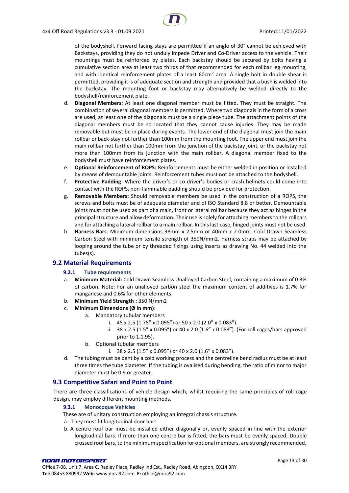of the bodyshell. Forward facing stays are permitted if an angle of 30° cannot be achieved with Backstays, providing they do not unduly impede Driver and Co-Driver access to the vehicle. Their mountings must be reinforced by plates. Each backstay should be secured by bolts having a cumulative section area at least two thirds of that recommended for each rollbar leg mounting, and with identical reinforcement plates of a least  $60 \text{cm}^2$  area. A single bolt in double shear is permitted, providing it is of adequate section and strength and provided that a bush is welded into the backstay. The mounting foot or backstay may alternatively be welded directly to the bodyshell/reinforcement plate.

- d. **Diagonal Members**: At least one diagonal member must be fitted. They must be straight. The combination of several diagonal members is permitted. Where two diagonals in the form of a cross are used, at least one of the diagonals must be a single piece tube. The attachment points of the diagonal members must be so located that they cannot cause injuries. They may be made removable but must be in place during events. The lower end of the diagonal must join the main rollbar or back-stay not further than 100mm from the mounting foot. The upper end must join the main rollbar not further than 100mm from the junction of the backstay joint, or the backstay not more than 100mm from its junction with the main rollbar. A diagonal member fixed to the bodyshell must have reinforcement plates.
- e. **Optional Reinforcement of ROPS:** Reinforcements must be either welded in position or installed by means of demountable joints. Reinforcement tubes must not be attached to the bodyshell.
- f. **Protective Padding**: Where the driver's or co-driver's bodies or crash helmets could come into contact with the ROPS, non-flammable padding should be provided for protection.
- g. **Removable Members:** Should removable members be used in the construction of a ROPS, the screws and bolts must be of adequate diameter and of ISO Standard 8.8 or better. Demountable joints must not be used as part of a main, front or lateral rollbar because they act as hinges in the principal structure and allow deformation. Their use is solely for attaching members to the rollbars and for attaching a lateral rollbar to a main rollbar. In this last case, hinged joints must not be used.
- h. **Harness Bars**: Minimum dimensions 38mm x 2.5mm or 40mm x 2.0mm. Cold Drawn Seamless Carbon Steel with minimum tensile strength of 350N/mm2. Harness straps may be attached by looping around the tube or by threaded fixings using inserts as drawing No. 44 welded into the tubes(s).

#### <span id="page-12-1"></span><span id="page-12-0"></span>**9.2 Material Requirements**

#### **9.2.1 Tube requirements**

- a. **Minimum Material:** Cold Drawn Seamless Unalloyed Carbon Steel, containing a maximum of 0.3% of carbon. Note: For an unalloyed carbon steel the maximum content of additives is 1.7% for manganese and 0.6% for other elements.
- b. **Minimum Yield Strength :** 350 N/mm2
- c. **Minimum Dimensions (Ø in mm)**:
	- a. Mandatory tubular members
		- i.  $45 \times 2.5$  (1.75" x 0.095") or 50 x 2.0 (2.0" x 0.083").
		- ii. 38 x 2.5 (1.5" x 0.095") or 40 x 2.0 (1.6" x 0.083"). (For roll cages/bars approved prior to 1.1.95).
	- b. Optional tubular members
		- i.  $38 \times 2.5$  (1.5" x 0.095") or 40 x 2.0 (1.6" x 0.083").
- d. The tubing must be bent by a cold working process and the centreline bend radius must be at least three times the tube diameter. If the tubing is ovalised during bending, the ratio of minor to major diameter must be 0.9 or greater.

#### <span id="page-12-2"></span>**9.3 Competitive Safari and Point to Point**

<span id="page-12-3"></span>There are three classifications of vehicle design which, whilst requiring the same principles of roll-cage design, may employ different mounting methods.

#### **9.3.1 Monocoque Vehicles**

These are of unitary construction employing an integral chassis structure.

- a. .They must fit longitudinal door bars.
- b. A centre roof bar must be installed either diagonally or, evenly spaced in line with the exterior longitudinal bars. If more than one centre bar is fitted, the bars must be evenly spaced. Double crossed roof bars, to the minimum specification for optional members, are strongly recommended.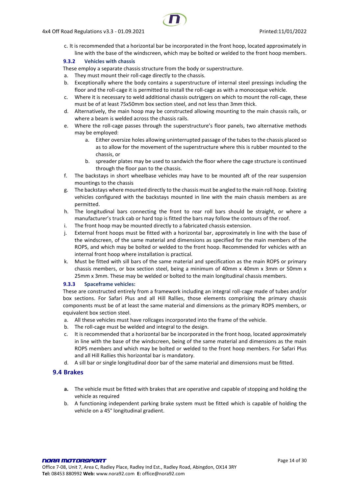c. It is recommended that a horizontal bar be incorporated in the front hoop, located approximately in line with the base of the windscreen, which may be bolted or welded to the front hoop members.

#### <span id="page-13-0"></span>**9.3.2 Vehicles with chassis**

These employ a separate chassis structure from the body or superstructure.

- a. They must mount their roll-cage directly to the chassis.
- b. Exceptionally where the body contains a superstructure of internal steel pressings including the floor and the roll-cage it is permitted to install the roll-cage as with a monocoque vehicle.
- c. Where it is necessary to weld additional chassis outriggers on which to mount the roll-cage, these must be of at least 75x50mm box section steel, and not less than 3mm thick.
- d. Alternatively, the main hoop may be constructed allowing mounting to the main chassis rails, or where a beam is welded across the chassis rails.
- e. Where the roll-cage passes through the superstructure's floor panels, two alternative methods may be employed:
	- a. Either oversize holes allowing uninterrupted passage of the tubes to the chassis placed so as to allow for the movement of the superstructure where this is rubber mounted to the chassis, or
	- b. spreader plates may be used to sandwich the floor where the cage structure is continued through the floor pan to the chassis.
- f. The backstays in short wheelbase vehicles may have to be mounted aft of the rear suspension mountings to the chassis
- g. The backstays where mounted directly to the chassis must be angled to the main roll hoop. Existing vehicles configured with the backstays mounted in line with the main chassis members as are permitted.
- h. The longitudinal bars connecting the front to rear roll bars should be straight, or where a manufacturer's truck cab or hard top is fitted the bars may follow the contours of the roof.
- i. The front hoop may be mounted directly to a fabricated chassis extension.
- j. External front hoops must be fitted with a horizontal bar, approximately in line with the base of the windscreen, of the same material and dimensions as specified for the main members of the ROPS, and which may be bolted or welded to the front hoop. Recommended for vehicles with an internal front hoop where installation is practical.
- k. Must be fitted with sill bars of the same material and specification as the main ROPS or primary chassis members, or box section steel, being a minimum of 40mm x 40mm x 3mm or 50mm x 25mm x 3mm. These may be welded or bolted to the main longitudinal chassis members.

#### <span id="page-13-1"></span>**9.3.3 Spaceframe vehicles:**

These are constructed entirely from a framework including an integral roll-cage made of tubes and/or box sections. For Safari Plus and all Hill Rallies, those elements comprising the primary chassis components must be of at least the same material and dimensions as the primary ROPS members, or equivalent box section steel.

- a. All these vehicles must have rollcages incorporated into the frame of the vehicle.
- b. The roll-cage must be welded and integral to the design.
- c. It is recommended that a horizontal bar be incorporated in the front hoop, located approximately in line with the base of the windscreen, being of the same material and dimensions as the main ROPS members and which may be bolted or welded to the front hoop members. For Safari Plus and all Hill Rallies this horizontal bar is mandatory.
- d. A sill bar or single longitudinal door bar of the same material and dimensions must be fitted.

#### <span id="page-13-2"></span>**9.4 Brakes**

- **a.** The vehicle must be fitted with brakes that are operative and capable of stopping and holding the vehicle as required
- b. A functioning independent parking brake system must be fitted which is capable of holding the vehicle on a 45° longitudinal gradient.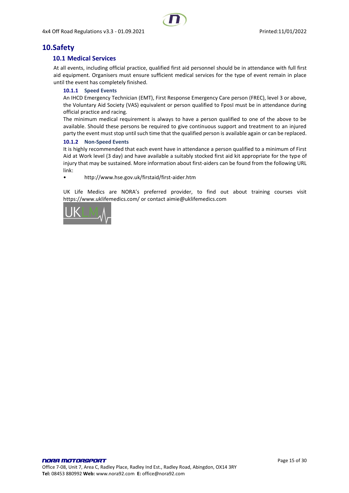# <span id="page-14-1"></span><span id="page-14-0"></span>**10.Safety**

## **10.1 Medical Services**

At all events, including official practice, qualified first aid personnel should be in attendance with full first aid equipment. Organisers must ensure sufficient medical services for the type of event remain in place until the event has completely finished.

#### <span id="page-14-2"></span>**10.1.1 Speed Events**

An IHCD Emergency Technician (EMT), First Response Emergency Care person (FREC), level 3 or above, the Voluntary Aid Society (VAS) equivalent or person qualified to FposI must be in attendance during official practice and racing.

The minimum medical requirement is always to have a person qualified to one of the above to be available. Should these persons be required to give continuous support and treatment to an injured party the event must stop until such time that the qualified person is available again or can be replaced.

#### <span id="page-14-3"></span>**10.1.2 Non-Speed Events**

It is highly recommended that each event have in attendance a person qualified to a minimum of First Aid at Work level (3 day) and have available a suitably stocked first aid kit appropriate for the type of injury that may be sustained. More information about first-aiders can be found from the following URL link:

• http://www.hse.gov.uk/firstaid/first-aider.htm

UK Life Medics are NORA's preferred provider, to find out about training courses visit https://www.uklifemedics.com/ or contact aimie@uklifemedics.com

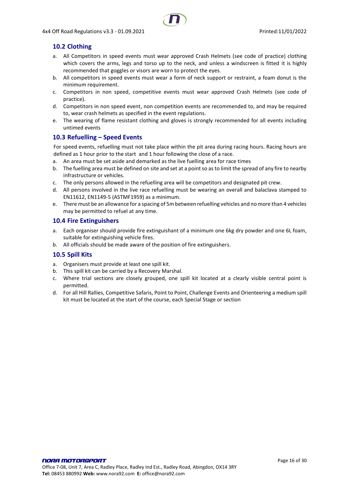## <span id="page-15-0"></span>**10.2 Clothing**

- a. All Competitors in speed events must wear approved Crash Helmets (see code of practice) clothing which covers the arms, legs and torso up to the neck, and unless a windscreen is fitted it is highly recommended that goggles or visors are worn to protect the eyes.
- b. All competitors in speed events must wear a form of neck support or restraint, a foam donut is the minimum requirement.
- c. Competitors in non speed, competitive events must wear approved Crash Helmets (see code of practice).
- d. Competitors in non speed event, non competition events are recommended to, and may be required to, wear crash helmets as specified in the event regulations.
- e. The wearing of flame resistant clothing and gloves is strongly recommended for all events including untimed events

## <span id="page-15-1"></span>**10.3 Refuelling – Speed Events**

For speed events, refuelling must not take place within the pit area during racing hours. Racing hours are defined as 1 hour prior to the start and 1 hour following the close of a race.

- a. An area must be set aside and demarked as the live fuelling area for race times
- b. The fuelling area must be defined on site and set at a point so as to limit the spread of any fire to nearby infrastructure or vehicles.
- c. The only persons allowed in the refuelling area will be competitors and designated pit crew.
- d. All persons involved in the live race refuelling must be wearing an overall and balaclava stamped to EN11612, EN1149-5 (ASTMF1959) as a minimum.
- e. There must be an allowance for a spacing of 5m between refuelling vehicles and no more than 4 vehicles may be permitted to refuel at any time.

#### <span id="page-15-2"></span>**10.4 Fire Extinguishers**

- a. Each organiser should provide fire extinguishant of a minimum one 6kg dry powder and one 6L foam, suitable for extinguishing vehicle fires.
- b. All officials should be made aware of the position of fire extinguishers.

## <span id="page-15-3"></span>**10.5 Spill Kits**

- a. Organisers must provide at least one spill kit.
- b. This spill kit can be carried by a Recovery Marshal.
- c. Where trial sections are closely grouped, one spill kit located at a clearly visible central point is permitted.
- d. For all Hill Rallies, Competitive Safaris, Point to Point, Challenge Events and Orienteering a medium spill kit must be located at the start of the course, each Special Stage or section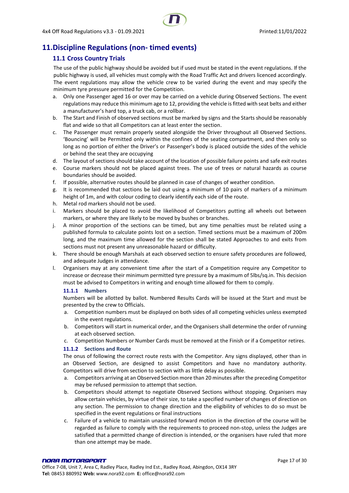# <span id="page-16-1"></span><span id="page-16-0"></span>**11.Discipline Regulations (non- timed events)**

## **11.1 Cross Country Trials**

The use of the public highway should be avoided but if used must be stated in the event regulations. If the public highway is used, all vehicles must comply with the Road Traffic Act and drivers licenced accordingly. The event regulations may allow the vehicle crew to be varied during the event and may specify the minimum tyre pressure permitted for the Competition.

- a. Only one Passenger aged 16 or over may be carried on a vehicle during Observed Sections. The event regulations may reduce this minimum age to 12, providing the vehicle is fitted with seat belts and either a manufacturer's hard top, a truck cab, or a rollbar.
- b. The Start and Finish of observed sections must be marked by signs and the Starts should be reasonably flat and wide so that all Competitors can at least enter the section.
- c. The Passenger must remain properly seated alongside the Driver throughout all Observed Sections. 'Bouncing' will be Permitted only within the confines of the seating compartment, and then only so long as no portion of either the Driver's or Passenger's body is placed outside the sides of the vehicle or behind the seat they are occupying
- d. The layout of sections should take account of the location of possible failure points and safe exit routes
- e. Course markers should not be placed against trees. The use of trees or natural hazards as course boundaries should be avoided.
- f. If possible, alternative routes should be planned in case of changes of weather condition.
- g. It is recommended that sections be laid out using a minimum of 10 pairs of markers of a minimum height of 1m, and with colour coding to clearly identify each side of the route.
- h. Metal rod markers should not be used.
- i. Markers should be placed to avoid the likelihood of Competitors putting all wheels out between markers, or where they are likely to be moved by bushes or branches.
- j. A minor proportion of the sections can be timed, but any time penalties must be related using a published formula to calculate points lost on a section. Timed sections must be a maximum of 200m long, and the maximum time allowed for the section shall be stated Approaches to and exits from sections must not present any unreasonable hazard or difficulty.
- k. There should be enough Marshals at each observed section to ensure safety procedures are followed, and adequate Judges in attendance.
- l. Organisers may at any convenient time after the start of a Competition require any Competitor to increase or decrease their minimum permitted tyre pressure by a maximum of 5lbs/sq.in. This decision must be advised to Competitors in writing and enough time allowed for them to comply.

#### <span id="page-16-2"></span>**11.1.1 Numbers**

Numbers will be allotted by ballot. Numbered Results Cards will be issued at the Start and must be presented by the crew to Officials.

- a. Competition numbers must be displayed on both sides of all competing vehicles unless exempted in the event regulations.
- b. Competitors will start in numerical order, and the Organisers shall determine the order of running at each observed section.
- c. Competition Numbers or Number Cards must be removed at the Finish or if a Competitor retires.

#### <span id="page-16-3"></span>**11.1.2 Sections and Route**

The onus of following the correct route rests with the Competitor. Any signs displayed, other than in an Observed Section, are designed to assist Competitors and have no mandatory authority. Competitors will drive from section to section with as little delay as possible.

- a. Competitors arriving at an Observed Section more than 20 minutes after the preceding Competitor may be refused permission to attempt that section.
- b. Competitors should attempt to negotiate Observed Sections without stopping. Organisers may allow certain vehicles, by virtue of their size, to take a specified number of changes of direction on any section. The permission to change direction and the eligibility of vehicles to do so must be specified in the event regulations or final instructions
- c. Failure of a vehicle to maintain unassisted forward motion in the direction of the course will be regarded as failure to comply with the requirements to proceed non-stop, unless the Judges are satisfied that a permitted change of direction is intended, or the organisers have ruled that more than one attempt may be made.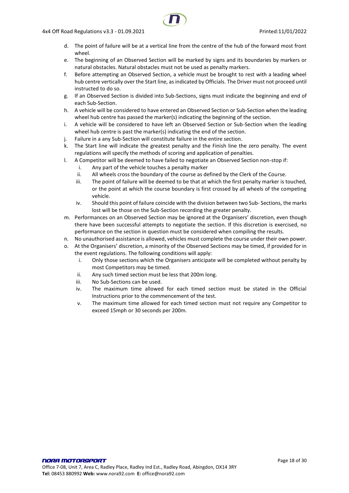- d. The point of failure will be at a vertical line from the centre of the hub of the forward most front wheel.
- e. The beginning of an Observed Section will be marked by signs and its boundaries by markers or natural obstacles. Natural obstacles must not be used as penalty markers.
- f. Before attempting an Observed Section, a vehicle must be brought to rest with a leading wheel hub centre vertically over the Start line, as indicated by Officials. The Driver must not proceed until instructed to do so.
- g. If an Observed Section is divided into Sub-Sections, signs must indicate the beginning and end of each Sub-Section.
- h. A vehicle will be considered to have entered an Observed Section or Sub-Section when the leading wheel hub centre has passed the marker(s) indicating the beginning of the section.
- i. A vehicle will be considered to have left an Observed Section or Sub-Section when the leading wheel hub centre is past the marker(s) indicating the end of the section.
- j. Failure in a any Sub-Section will constitute failure in the entire section.
- k. The Start line will indicate the greatest penalty and the Finish line the zero penalty. The event regulations will specify the methods of scoring and application of penalties.
- l. A Competitor will be deemed to have failed to negotiate an Observed Section non-stop if:
	- i. Any part of the vehicle touches a penalty marker
	- ii. All wheels cross the boundary of the course as defined by the Clerk of the Course.
	- iii. The point of failure will be deemed to be that at which the first penalty marker is touched, or the point at which the course boundary is first crossed by all wheels of the competing vehicle.
	- iv. Should this point of failure coincide with the division between two Sub- Sections, the marks lost will be those on the Sub-Section recording the greater penalty.
- m. Performances on an Observed Section may be ignored at the Organisers' discretion, even though there have been successful attempts to negotiate the section. If this discretion is exercised, no performance on the section in question must be considered when compiling the results.
- n. No unauthorised assistance is allowed, vehicles must complete the course under their own power.
- o. At the Organisers' discretion, a minority of the Observed Sections may be timed, if provided for in the event regulations. The following conditions will apply:
	- i. Only those sections which the Organisers anticipate will be completed without penalty by most Competitors may be timed.
	- ii. Any such timed section must be less that 200m long.
	- iii. No Sub-Sections can be used.
	- iv. The maximum time allowed for each timed section must be stated in the Official Instructions prior to the commencement of the test.
	- v. The maximum time allowed for each timed section must not require any Competitor to exceed 15mph or 30 seconds per 200m.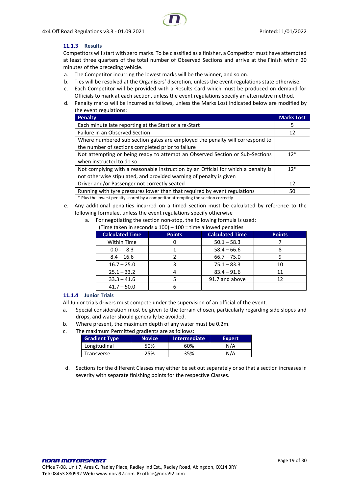#### <span id="page-18-0"></span>**11.1.3 Results**

Competitors will start with zero marks. To be classified as a finisher, a Competitor must have attempted at least three quarters of the total number of Observed Sections and arrive at the Finish within 20 minutes of the preceding vehicle.

- a. The Competitor incurring the lowest marks will be the winner, and so on.
- b. Ties will be resolved at the Organisers' discretion, unless the event regulations state otherwise.
- c. Each Competitor will be provided with a Results Card which must be produced on demand for Officials to mark at each section, unless the event regulations specify an alternative method.
- d. Penalty marks will be incurred as follows, unless the Marks Lost indicated below are modified by the event regulations:

| <b>Penalty</b>                                                                    | <b>Marks Lost</b> |
|-----------------------------------------------------------------------------------|-------------------|
| Each minute late reporting at the Start or a re-Start                             | 5                 |
| Failure in an Observed Section                                                    | 12                |
| Where numbered sub section gates are employed the penalty will correspond to      |                   |
| the number of sections completed prior to failure                                 |                   |
| Not attempting or being ready to attempt an Observed Section or Sub-Sections      | $12*$             |
| when instructed to do so                                                          |                   |
| Not complying with a reasonable instruction by an Official for which a penalty is | $12*$             |
| not otherwise stipulated, and provided warning of penalty is given                |                   |
| Driver and/or Passenger not correctly seated                                      | 12                |
| Running with tyre pressures lower than that required by event regulations         | 50                |
| * Plus the lowest penalty scored by a competitor attempting the section correctly |                   |

- e. Any additional penalties incurred on a timed section must be calculated by reference to the following formulae, unless the event regulations specify otherwise
	- a. For negotiating the section non-stop, the following formula is used:
		- (Time taken in seconds  $x$  100) 100 = time allowed penalties

| <b>Calculated Time</b> | <b>Points</b> | <b>Calculated Time</b> | <b>Points</b> |
|------------------------|---------------|------------------------|---------------|
| <b>Within Time</b>     |               | $50.1 - 58.3$          |               |
| $0.0 - 8.3$            |               | $58.4 - 66.6$          |               |
| $8.4 - 16.6$           |               | $66.7 - 75.0$          |               |
| $16.7 - 25.0$          |               | $75.1 - 83.3$          | 10            |
| $25.1 - 33.2$          | 4             | $83.4 - 91.6$          | 11            |
| $33.3 - 41.6$          |               | 91.7 and above         | 12            |
| $41.7 - 50.0$          |               |                        |               |

#### <span id="page-18-1"></span>**11.1.4 Junior Trials**

All Junior trials drivers must compete under the supervision of an official of the event.

- a. Special consideration must be given to the terrain chosen, particularly regarding side slopes and drops, and water should generally be avoided.
- b. Where present, the maximum depth of any water must be 0.2m.
- c. The maximum Permitted gradients are as follows:

| <b>Gradient Type</b> | <b>Novice</b> | <b>Intermediate</b> | Expert |
|----------------------|---------------|---------------------|--------|
| Longitudinal         | 50%           | 60%                 | N/A    |
| Transverse           | 25%           | 35%                 | N/A    |

d. Sections for the different Classes may either be set out separately or so that a section increases in severity with separate finishing points for the respective Classes.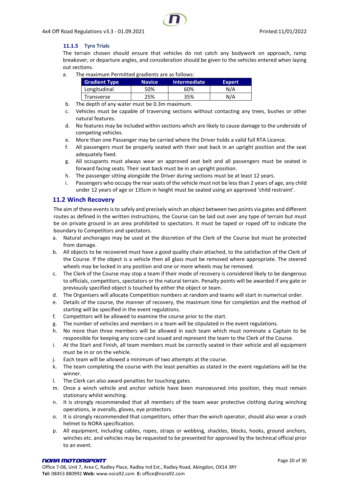#### <span id="page-19-0"></span>**11.1.5 Tyro Trials**

The terrain chosen should ensure that vehicles do not catch any bodywork on approach, ramp breakover, or departure angles, and consideration should be given to the vehicles entered when laying out sections.

a. The maximum Permitted gradients are as follows:

| <b>Gradient Type</b> | <b>Novice</b> | Intermediate | <b>Expert</b> |
|----------------------|---------------|--------------|---------------|
| Longitudinal         | 50%           | 60%          | N/A           |
| Transverse           | ን5%           | 35%          | N/A           |

- b. The depth of any water must be 0.3m maximum.
- c. Vehicles must be capable of traversing sections without contacting any trees, bushes or other natural features.
- d. No features may be included within sections which are likely to cause damage to the underside of competing vehicles.
- e. More than one Passenger may be carried where the Driver holds a valid full RTA Licence.
- f. All passengers must be properly seated with their seat back in an upright position and the seat adequately fixed.
- g. All occupants must always wear an approved seat belt and all passengers must be seated in forward facing seats. Their seat back must be in an upright position.
- h. The passenger sitting alongside the Driver during sections must be at least 12 years.
- i. Passengers who occupy the rear seats of the vehicle must not be less than 2 years of age, any child under 12 years of age or 135cm in height must be seated using an approved 'child restraint'.

#### <span id="page-19-1"></span>**11.2 Winch Recovery**

The aim of these events is to safely and precisely winch an object between two points via gates and different routes as defined in the written instructions, the Course can be laid out over any type of terrain but must be on private ground in an area prohibited to spectators. It must be taped or roped off to indicate the boundary to Competitors and spectators.

- a. Natural anchorages may be used at the discretion of the Clerk of the Course but must be protected from damage.
- b. All objects to be recovered must have a good quality chain attached, to the satisfaction of the Clerk of the Course. If the object is a vehicle then all glass must be removed where appropriate. The steered wheels may be locked in any position and one or more wheels may be removed.
- c. The Clerk of the Course may stop a team if their mode of recovery is considered likely to be dangerous to officials, competitors, spectators or the natural terrain. Penalty points will be awarded if any gate or previously specified object is touched by either the object or team.
- d. The Organisers will allocate Competition numbers at random and teams will start in numerical order.
- e. Details of the course, the manner of recovery, the maximum time for completion and the method of starting will be specified in the event regulations.
- f. Competitors will be allowed to examine the course prior to the start.
- g. The number of vehicles and members in a team will be stipulated in the event regulations.
- h. No more than three members will be allowed in each team which must nominate a Captain to be responsible for keeping any score-card issued and represent the team to the Clerk of the Course.
- i. At the Start and Finish, all team members must be correctly seated in their vehicle and all equipment must be in or on the vehicle.
- j. Each team will be allowed a minimum of two attempts at the course.
- k. The team completing the course with the least penalties as stated in the event regulations will be the winner.
- l. The Clerk can also award penalties for touching gates.
- m. Once a winch vehicle and anchor vehicle have been manoeuvred into position, they must remain stationary whilst winching.
- n. It is strongly recommended that all members of the team wear protective clothing during winching operations, ie overalls, gloves, eye protectors.
- o. It is strongly recommended that competitors, other than the winch operator, should also wear a crash helmet to NORA specification.
- p. All equipment, including cables, ropes, straps or webbing, shackles, blocks, hooks, ground anchors, winches etc. and vehicles may be requested to be presented for approved by the technical official prior to an event.

**Tel:** 08453 880992 **Web:** www.nora92.com **E:** office@nora92.com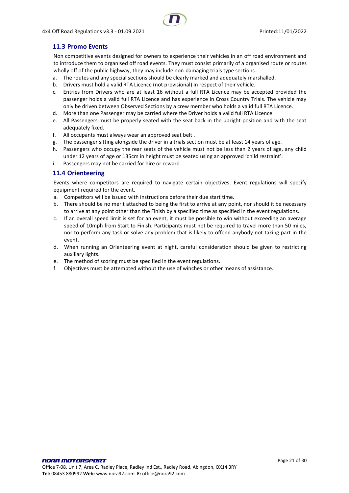## <span id="page-20-0"></span>**11.3 Promo Events**

Non competitive events designed for owners to experience their vehicles in an off road environment and to introduce them to organised off road events. They must consist primarily of a organised route or routes wholly off of the public highway, they may include non-damaging trials type sections.

- a. The routes and any special sections should be clearly marked and adequately marshalled.
- b. Drivers must hold a valid RTA Licence (not provisional) in respect of their vehicle.
- c. Entries from Drivers who are at least 16 without a full RTA Licence may be accepted provided the passenger holds a valid full RTA Licence and has experience in Cross Country Trials. The vehicle may only be driven between Observed Sections by a crew member who holds a valid full RTA Licence.
- d. More than one Passenger may be carried where the Driver holds a valid full RTA Licence.
- e. All Passengers must be properly seated with the seat back in the upright position and with the seat adequately fixed.
- f. All occupants must always wear an approved seat belt .
- g. The passenger sitting alongside the driver in a trials section must be at least 14 years of age.
- h. Passengers who occupy the rear seats of the vehicle must not be less than 2 years of age, any child under 12 years of age or 135cm in height must be seated using an approved 'child restraint'.
- i. Passengers may not be carried for hire or reward.

#### <span id="page-20-1"></span>**11.4 Orienteering**

Events where competitors are required to navigate certain objectives. Event regulations will specify equipment required for the event.

- a. Competitors will be issued with instructions before their due start time.
- b. There should be no merit attached to being the first to arrive at any point, nor should it be necessary to arrive at any point other than the Finish by a specified time as specified in the event regulations.
- c. If an overall speed limit is set for an event, it must be possible to win without exceeding an average speed of 10mph from Start to Finish. Participants must not be required to travel more than 50 miles, nor to perform any task or solve any problem that is likely to offend anybody not taking part in the event.
- d. When running an Orienteering event at night, careful consideration should be given to restricting auxiliary lights.
- e. The method of scoring must be specified in the event regulations.
- f. Objectives must be attempted without the use of winches or other means of assistance.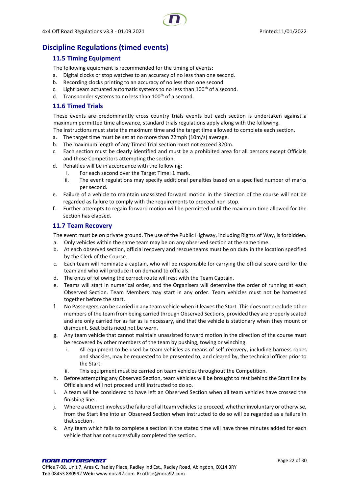

# <span id="page-21-1"></span><span id="page-21-0"></span>**Discipline Regulations (timed events)**

## **11.5 Timing Equipment**

The following equipment is recommended for the timing of events:

- a. Digital clocks or stop watches to an accuracy of no less than one second.
- b. Recording clocks printing to an accuracy of no less than one second
- c. Light beam actuated automatic systems to no less than  $100<sup>th</sup>$  of a second.
- d. Transponder systems to no less than  $100<sup>th</sup>$  of a second.

### <span id="page-21-2"></span>**11.6 Timed Trials**

These events are predominantly cross country trials events but each section is undertaken against a maximum permitted time allowance, standard trials regulations apply along with the following.

The instructions must state the maximum time and the target time allowed to complete each section.

- a. The target time must be set at no more than 22mph (10m/s) average.
- b. The maximum length of any Timed Trial section must not exceed 320m.
- c. Each section must be clearly identified and must be a prohibited area for all persons except Officials and those Competitors attempting the section.
- d. Penalties will be in accordance with the following:
	- i. For each second over the Target Time: 1 mark.
	- ii. The event regulations may specify additional penalties based on a specified number of marks per second.
- e. Failure of a vehicle to maintain unassisted forward motion in the direction of the course will not be regarded as failure to comply with the requirements to proceed non-stop.
- f. Further attempts to regain forward motion will be permitted until the maximum time allowed for the section has elapsed.

#### <span id="page-21-3"></span>**11.7 Team Recovery**

The event must be on private ground. The use of the Public Highway, including Rights of Way, is forbidden. a. Only vehicles within the same team may be on any observed section at the same time.

- b. At each observed section, official recovery and rescue teams must be on duty in the location specified by the Clerk of the Course.
- c. Each team will nominate a captain, who will be responsible for carrying the official score card for the team and who will produce it on demand to officials.
- d. The onus of following the correct route will rest with the Team Captain.
- e. Teams will start in numerical order, and the Organisers will determine the order of running at each Observed Section. Team Members may start in any order. Team vehicles must not be harnessed together before the start.
- f. No Passengers can be carried in any team vehicle when it leaves the Start. This does not preclude other members of the team from being carried through Observed Sections, provided they are properly seated and are only carried for as far as is necessary, and that the vehicle is stationary when they mount or dismount. Seat belts need not be worn.
- g. Any team vehicle that cannot maintain unassisted forward motion in the direction of the course must be recovered by other members of the team by pushing, towing or winching.
	- i. All equipment to be used by team vehicles as means of self-recovery, including harness ropes and shackles, may be requested to be presented to, and cleared by, the technical officer prior to the Start.
	- ii. This equipment must be carried on team vehicles throughout the Competition.
- h. Before attempting any Observed Section, team vehicles will be brought to rest behind the Start line by Officials and will not proceed until instructed to do so.
- i. A team will be considered to have left an Observed Section when all team vehicles have crossed the finishing line.
- j. Where a attempt involves the failure of all team vehicles to proceed, whether involuntary or otherwise, from the Start line into an Observed Section when instructed to do so will be regarded as a failure in that section.
- k. Any team which fails to complete a section in the stated time will have three minutes added for each vehicle that has not successfully completed the section.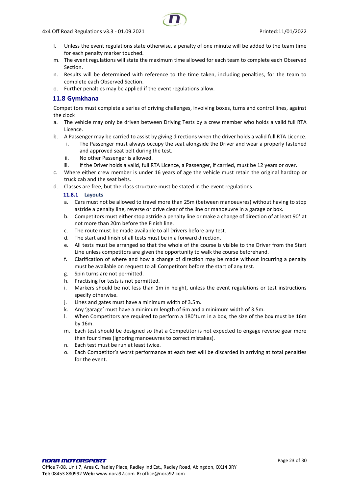- l. Unless the event regulations state otherwise, a penalty of one minute will be added to the team time for each penalty marker touched.
- m. The event regulations will state the maximum time allowed for each team to complete each Observed Section.
- n. Results will be determined with reference to the time taken, including penalties, for the team to complete each Observed Section.
- o. Further penalties may be applied if the event regulations allow.

## <span id="page-22-0"></span>**11.8 Gymkhana**

Competitors must complete a series of driving challenges, involving boxes, turns and control lines, against the clock

- a. The vehicle may only be driven between Driving Tests by a crew member who holds a valid full RTA Licence.
- b. A Passenger may be carried to assist by giving directions when the driver holds a valid full RTA Licence.
	- i. The Passenger must always occupy the seat alongside the Driver and wear a properly fastened and approved seat belt during the test.
	- ii. No other Passenger is allowed.
	- iii. If the Driver holds a valid, full RTA Licence, a Passenger, if carried, must be 12 years or over.
- c. Where either crew member is under 16 years of age the vehicle must retain the original hardtop or truck cab and the seat belts.
- <span id="page-22-1"></span>d. Classes are free, but the class structure must be stated in the event regulations.

#### **11.8.1 Layouts**

- a. Cars must not be allowed to travel more than 25m (between manoeuvres) without having to stop astride a penalty line, reverse or drive clear of the line or manoeuvre in a garage or box.
- b. Competitors must either stop astride a penalty line or make a change of direction of at least 90° at not more than 20m before the Finish line.
- c. The route must be made available to all Drivers before any test.
- d. The start and finish of all tests must be in a forward direction.
- e. All tests must be arranged so that the whole of the course is visible to the Driver from the Start Line unless competitors are given the opportunity to walk the course beforehand.
- f. Clarification of where and how a change of direction may be made without incurring a penalty must be available on request to all Competitors before the start of any test.
- g. Spin turns are not permitted.
- h. Practising for tests is not permitted.
- i. Markers should be not less than 1m in height, unless the event regulations or test instructions specify otherwise.
- j. Lines and gates must have a minimum width of 3.5m.
- k. Any 'garage' must have a minimum length of 6m and a minimum width of 3.5m.
- l. When Competitors are required to perform a 180°turn in a box, the size of the box must be 16m by 16m.
- m. Each test should be designed so that a Competitor is not expected to engage reverse gear more than four times (ignoring manoeuvres to correct mistakes).
- n. Each test must be run at least twice.
- o. Each Competitor's worst performance at each test will be discarded in arriving at total penalties for the event.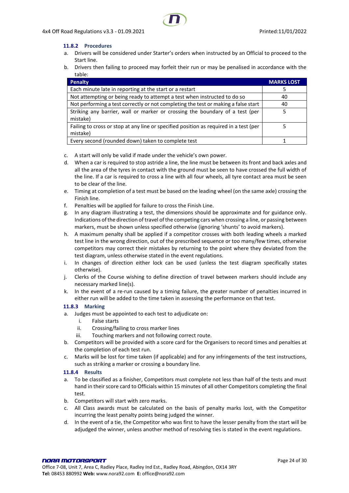#### <span id="page-23-0"></span>**11.8.2 Procedures**

- a. Drivers will be considered under Starter's orders when instructed by an Official to proceed to the Start line.
- b. Drivers then failing to proceed may forfeit their run or may be penalised in accordance with the table:

| <b>Penalty</b>                                                                                    | <b>MARKS LOST</b> |
|---------------------------------------------------------------------------------------------------|-------------------|
| Each minute late in reporting at the start or a restart                                           |                   |
| Not attempting or being ready to attempt a test when instructed to do so                          | 40                |
| Not performing a test correctly or not completing the test or making a false start                | 40                |
| Striking any barrier, wall or marker or crossing the boundary of a test (per<br>mistake)          |                   |
| Failing to cross or stop at any line or specified position as required in a test (per<br>mistake) |                   |
| Every second (rounded down) taken to complete test                                                |                   |

- c. A start will only be valid if made under the vehicle's own power.
- d. When a car is required to stop astride a line, the line must be between its front and back axles and all the area of the tyres in contact with the ground must be seen to have crossed the full width of the line. If a car is required to cross a line with all four wheels, all tyre contact area must be seen to be clear of the line.
- e. Timing at completion of a test must be based on the leading wheel (on the same axle) crossing the Finish line.
- f. Penalties will be applied for failure to cross the Finish Line.
- g. In any diagram illustrating a test, the dimensions should be approximate and for guidance only. Indications of the direction of travel of the competing cars when crossing a line, or passing between markers, must be shown unless specified otherwise (ignoring 'shunts' to avoid markers).
- h. A maximum penalty shall be applied if a competitor crosses with both leading wheels a marked test line in the wrong direction, out of the prescribed sequence or too many/few times, otherwise competitors may correct their mistakes by returning to the point where they deviated from the test diagram, unless otherwise stated in the event regulations.
- i. In changes of direction either lock can be used (unless the test diagram specifically states otherwise).
- j. Clerks of the Course wishing to define direction of travel between markers should include any necessary marked line(s).
- k. In the event of a re-run caused by a timing failure, the greater number of penalties incurred in either run will be added to the time taken in assessing the performance on that test.

#### <span id="page-23-1"></span>**11.8.3 Marking**

- a. Judges must be appointed to each test to adjudicate on:
	- i. False starts
	- ii. Crossing/failing to cross marker lines
	- iii. Touching markers and not following correct route.
- b. Competitors will be provided with a score card for the Organisers to record times and penalties at the completion of each test run.
- c. Marks will be lost for time taken (if applicable) and for any infringements of the test instructions, such as striking a marker or crossing a boundary line.

#### <span id="page-23-2"></span>**11.8.4 Results**

- a. To be classified as a finisher, Competitors must complete not less than half of the tests and must hand in their score card to Officials within 15 minutes of all other Competitors completing the final test
- b. Competitors will start with zero marks.
- c. All Class awards must be calculated on the basis of penalty marks lost, with the Competitor incurring the least penalty points being judged the winner.
- d. In the event of a tie, the Competitor who was first to have the lesser penalty from the start will be adjudged the winner, unless another method of resolving ties is stated in the event regulations.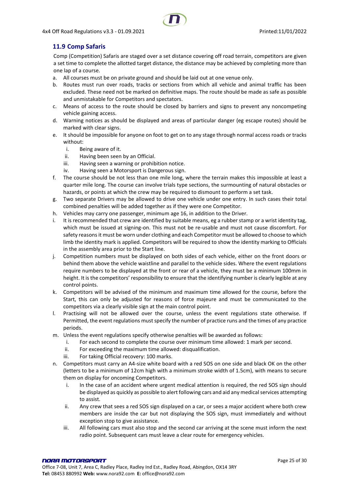## <span id="page-24-0"></span>**11.9 Comp Safaris**

Comp (Competition) Safaris are staged over a set distance covering off road terrain, competitors are given a set time to complete the allotted target distance, the distance may be achieved by completing more than one lap of a course.

- a. All courses must be on private ground and should be laid out at one venue only.
- b. Routes must run over roads, tracks or sections from which all vehicle and animal traffic has been excluded. These need not be marked on definitive maps. The route should be made as safe as possible and unmistakable for Competitors and spectators.
- c. Means of access to the route should be closed by barriers and signs to prevent any noncompeting vehicle gaining access.
- d. Warning notices as should be displayed and areas of particular danger (eg escape routes) should be marked with clear signs.
- e. It should be impossible for anyone on foot to get on to any stage through normal access roads or tracks without:
	- i. Being aware of it.
	- ii. Having been seen by an Official.
	- iii. Having seen a warning or prohibition notice.
	- iv. Having seen a Motorsport is Dangerous sign.
- f. The course should be not less than one mile long, where the terrain makes this impossible at least a quarter mile long. The course can involve trials type sections, the surmounting of natural obstacles or hazards, or points at which the crew may be required to dismount to perform a set task.
- g. Two separate Drivers may be allowed to drive one vehicle under one entry. In such cases their total combined penalties will be added together as if they were one Competitor.
- h. Vehicles may carry one passenger, minimum age 16, in addition to the Driver.
- i. It is recommended that crew are identified by suitable means, eg a rubber stamp or a wrist identity tag, which must be issued at signing-on. This must not be re-usable and must not cause discomfort. For safety reasons it must be worn under clothing and each Competitor must be allowed to choose to which limb the identity mark is applied. Competitors will be required to show the identity marking to Officials in the assembly area prior to the Start line.
- j. Competition numbers must be displayed on both sides of each vehicle, either on the front doors or behind them above the vehicle waistline and parallel to the vehicle sides. Where the event regulations require numbers to be displayed at the front or rear of a vehicle, they must be a minimum 100mm in height. It is the competitors' responsibility to ensure that the identifying number is clearly legible at any control points.
- k. Competitors will be advised of the minimum and maximum time allowed for the course, before the Start, this can only be adjusted for reasons of force majeure and must be communicated to the competitors via a clearly visible sign at the main control point.
- l. Practising will not be allowed over the course, unless the event regulations state otherwise. If Permitted, the event regulations must specify the number of practice runs and the times of any practice periods.
- m. Unless the event regulations specify otherwise penalties will be awarded as follows:
	- i. For each second to complete the course over minimum time allowed: 1 mark per second.
	- ii. For exceeding the maximum time allowed: disqualification.
	- iii. For taking Official recovery: 100 marks.
- n. Competitors must carry an A4-size white board with a red SOS on one side and black OK on the other (letters to be a minimum of 12cm high with a minimum stroke width of 1.5cm), with means to secure them on display for oncoming Competitors.
	- i. In the case of an accident where urgent medical attention is required, the red SOS sign should be displayed as quickly as possible to alert following cars and aid any medical services attempting to assist.
	- ii. Any crew that sees a red SOS sign displayed on a car, or sees a major accident where both crew members are inside the car but not displaying the SOS sign, must immediately and without exception stop to give assistance.
	- iii. All following cars must also stop and the second car arriving at the scene must inform the next radio point. Subsequent cars must leave a clear route for emergency vehicles.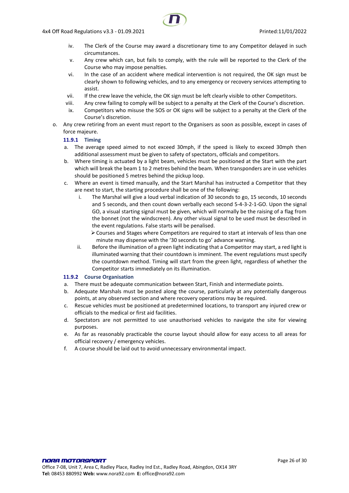- iv. The Clerk of the Course may award a discretionary time to any Competitor delayed in such circumstances.
- v. Any crew which can, but fails to comply, with the rule will be reported to the Clerk of the Course who may impose penalties.
- vi. In the case of an accident where medical intervention is not required, the OK sign must be clearly shown to following vehicles, and to any emergency or recovery services attempting to assist.
- vii. If the crew leave the vehicle, the OK sign must be left clearly visible to other Competitors.
- viii. Any crew failing to comply will be subject to a penalty at the Clerk of the Course's discretion.
- ix. Competitors who misuse the SOS or OK signs will be subject to a penalty at the Clerk of the Course's discretion.
- <span id="page-25-0"></span>o. Any crew retiring from an event must report to the Organisers as soon as possible, except in cases of force majeure.

#### **11.9.1 Timing**

- a. The average speed aimed to not exceed 30mph, if the speed is likely to exceed 30mph then additional assessment must be given to safety of spectators, officials and competitors.
- b. Where timing is actuated by a light beam, vehicles must be positioned at the Start with the part which will break the beam 1 to 2 metres behind the beam. When transponders are in use vehicles should be positioned 5 metres behind the pickup loop.
- c. Where an event is timed manually, and the Start Marshal has instructed a Competitor that they are next to start, the starting procedure shall be one of the following:
	- i. The Marshal will give a loud verbal indication of 30 seconds to go, 15 seconds, 10 seconds and 5 seconds, and then count down verbally each second 5-4-3-2-1-GO. Upon the signal GO, a visual starting signal must be given, which will normally be the raising of a flag from the bonnet (not the windscreen). Any other visual signal to be used must be described in the event regulations. False starts will be penalised.
		- ➢Courses and Stages where Competitors are required to start at intervals of less than one minute may dispense with the '30 seconds to go' advance warning.
	- ii. Before the illumination of a green light indicating that a Competitor may start, a red light is illuminated warning that their countdown is imminent. The event regulations must specify the countdown method. Timing will start from the green light, regardless of whether the Competitor starts immediately on its illumination.

#### <span id="page-25-1"></span>**11.9.2 Course Organisation**

- a. There must be adequate communication between Start, Finish and intermediate points.
- b. Adequate Marshals must be posted along the course, particularly at any potentially dangerous points, at any observed section and where recovery operations may be required.
- c. Rescue vehicles must be positioned at predetermined locations, to transport any injured crew or officials to the medical or first aid facilities.
- d. Spectators are not permitted to use unauthorised vehicles to navigate the site for viewing purposes.
- e. As far as reasonably practicable the course layout should allow for easy access to all areas for official recovery / emergency vehicles.
- f. A course should be laid out to avoid unnecessary environmental impact.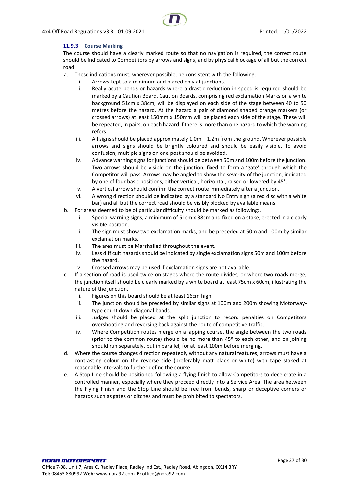#### <span id="page-26-0"></span>**11.9.3 Course Marking**

The course should have a clearly marked route so that no navigation is required, the correct route should be indicated to Competitors by arrows and signs, and by physical blockage of all but the correct road.

- a. These indications must, wherever possible, be consistent with the following:
	- i. Arrows kept to a minimum and placed only at junctions.
	- ii. Really acute bends or hazards where a drastic reduction in speed is required should be marked by a Caution Board. Caution Boards, comprising red exclamation Marks on a white background 51cm x 38cm, will be displayed on each side of the stage between 40 to 50 metres before the hazard. At the hazard a pair of diamond shaped orange markers (or crossed arrows) at least 150mm x 150mm will be placed each side of the stage. These will be repeated, in pairs, on each hazard if there is more than one hazard to which the warning refers.
	- iii. All signs should be placed approximately  $1.0m 1.2m$  from the ground. Wherever possible arrows and signs should be brightly coloured and should be easily visible. To avoid confusion, multiple signs on one post should be avoided.
	- iv. Advance warning signs for junctions should be between 50m and 100m before the junction. Two arrows should be visible on the junction, fixed to form a 'gate' through which the Competitor will pass. Arrows may be angled to show the severity of the junction, indicated by one of four basic positions, either vertical, horizontal, raised or lowered by 45°.
	- v. A vertical arrow should confirm the correct route immediately after a junction.
	- vi. A wrong direction should be indicated by a standard No Entry sign (a red disc with a white bar) and all but the correct road should be visibly blocked by available means
- b. For areas deemed to be of particular difficulty should be marked as following:.
	- i. Special warning signs, a minimum of 51cm x 38cm and fixed on a stake, erected in a clearly visible position.
	- ii. The sign must show two exclamation marks, and be preceded at 50m and 100m by similar exclamation marks.
	- iii. The area must be Marshalled throughout the event.
	- iv. Less difficult hazards should be indicated by single exclamation signs 50m and 100m before the hazard.
	- v. Crossed arrows may be used if exclamation signs are not available.
- c. If a section of road is used twice on stages where the route divides, or where two roads merge, the junction itself should be clearly marked by a white board at least 75cm x 60cm, illustrating the nature of the junction.
	- i. Figures on this board should be at least 16cm high.
	- ii. The junction should be preceded by similar signs at 100m and 200m showing Motorwaytype count down diagonal bands.
	- iii. Judges should be placed at the split junction to record penalties on Competitors overshooting and reversing back against the route of competitive traffic.
	- iv. Where Competition routes merge on a lapping course, the angle between the two roads (prior to the common route) should be no more than  $45<sup>°</sup>$  to each other, and on joining should run separately, but in parallel, for at least 100m before merging.
- d. Where the course changes direction repeatedly without any natural features, arrows must have a contrasting colour on the reverse side (preferably matt black or white) with tape staked at reasonable intervals to further define the course.
- e. A Stop Line should be positioned following a flying finish to allow Competitors to decelerate in a controlled manner, especially where they proceed directly into a Service Area. The area between the Flying Finish and the Stop Line should be free from bends, sharp or deceptive corners or hazards such as gates or ditches and must be prohibited to spectators.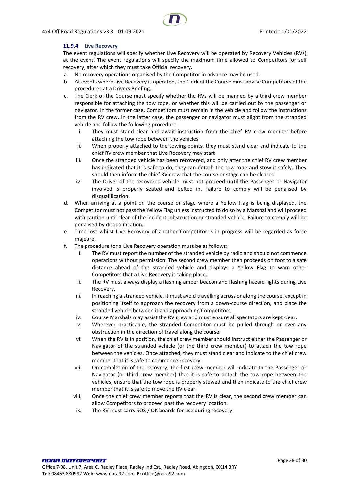#### <span id="page-27-0"></span>**11.9.4 Live Recovery**

The event regulations will specify whether Live Recovery will be operated by Recovery Vehicles (RVs) at the event. The event regulations will specify the maximum time allowed to Competitors for self recovery, after which they must take Official recovery.

- a. No recovery operations organised by the Competitor in advance may be used.
- b. At events where Live Recovery is operated, the Clerk of the Course must advise Competitors of the procedures at a Drivers Briefing.
- c. The Clerk of the Course must specify whether the RVs will be manned by a third crew member responsible for attaching the tow rope, or whether this will be carried out by the passenger or navigator. In the former case, Competitors must remain in the vehicle and follow the instructions from the RV crew. In the latter case, the passenger or navigator must alight from the stranded vehicle and follow the following procedure:
	- i. They must stand clear and await instruction from the chief RV crew member before attaching the tow rope between the vehicles
	- ii. When properly attached to the towing points, they must stand clear and indicate to the chief RV crew member that Live Recovery may start
	- iii. Once the stranded vehicle has been recovered, and only after the chief RV crew member has indicated that it is safe to do, they can detach the tow rope and stow it safely. They should then inform the chief RV crew that the course or stage can be cleared
	- iv. The Driver of the recovered vehicle must not proceed until the Passenger or Navigator involved is properly seated and belted in. Failure to comply will be penalised by disqualification.
- d. When arriving at a point on the course or stage where a Yellow Flag is being displayed, the Competitor must not pass the Yellow Flag unless instructed to do so by a Marshal and will proceed with caution until clear of the incident, obstruction or stranded vehicle. Failure to comply will be penalised by disqualification.
- e. Time lost whilst Live Recovery of another Competitor is in progress will be regarded as force majeure.
- f. The procedure for a Live Recovery operation must be as follows:
	- i. The RV must report the number of the stranded vehicle by radio and should not commence operations without permission. The second crew member then proceeds on foot to a safe distance ahead of the stranded vehicle and displays a Yellow Flag to warn other Competitors that a Live Recovery is taking place.
	- ii. The RV must always display a flashing amber beacon and flashing hazard lights during Live Recovery.
	- iii. In reaching a stranded vehicle, it must avoid travelling across or along the course, except in positioning itself to approach the recovery from a down-course direction, and place the stranded vehicle between it and approaching Competitors.
	- iv. Course Marshals may assist the RV crew and must ensure all spectators are kept clear.
	- v. Wherever practicable, the stranded Competitor must be pulled through or over any obstruction in the direction of travel along the course.
	- vi. When the RV is in position, the chief crew member should instruct either the Passenger or Navigator of the stranded vehicle (or the third crew member) to attach the tow rope between the vehicles. Once attached, they must stand clear and indicate to the chief crew member that it is safe to commence recovery.
	- vii. On completion of the recovery, the first crew member will indicate to the Passenger or Navigator (or third crew member) that it is safe to detach the tow rope between the vehicles, ensure that the tow rope is properly stowed and then indicate to the chief crew member that it is safe to move the RV clear.
	- viii. Once the chief crew member reports that the RV is clear, the second crew member can allow Competitors to proceed past the recovery location.
	- ix. The RV must carry SOS / OK boards for use during recovery.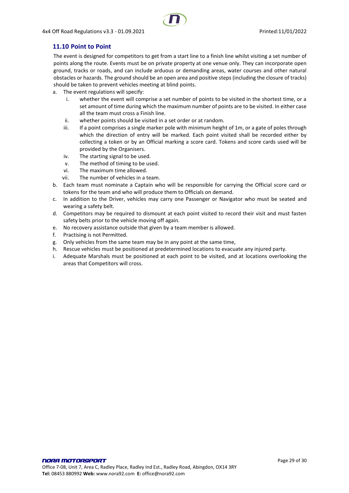## <span id="page-28-0"></span>**11.10 Point to Point**

The event is designed for competitors to get from a start line to a finish line whilst visiting a set number of points along the route. Events must be on private property at one venue only. They can incorporate open ground, tracks or roads, and can include arduous or demanding areas, water courses and other natural obstacles or hazards. The ground should be an open area and positive steps (including the closure of tracks) should be taken to prevent vehicles meeting at blind points.

- a. The event regulations will specify:
	- i. whether the event will comprise a set number of points to be visited in the shortest time, or a set amount of time during which the maximum number of points are to be visited. In either case all the team must cross a Finish line.
	- ii. whether points should be visited in a set order or at random.
	- iii. If a point comprises a single marker pole with minimum height of 1m, or a gate of poles through which the direction of entry will be marked. Each point visited shall be recorded either by collecting a token or by an Official marking a score card. Tokens and score cards used will be provided by the Organisers.
	- iv. The starting signal to be used.
	- v. The method of timing to be used.
	- vi. The maximum time allowed.
	- vii. The number of vehicles in a team.
- b. Each team must nominate a Captain who will be responsible for carrying the Official score card or tokens for the team and who will produce them to Officials on demand.
- c. In addition to the Driver, vehicles may carry one Passenger or Navigator who must be seated and wearing a safety belt.
- d. Competitors may be required to dismount at each point visited to record their visit and must fasten safety belts prior to the vehicle moving off again.
- e. No recovery assistance outside that given by a team member is allowed.
- f. Practising is not Permitted.
- g. Only vehicles from the same team may be in any point at the same time,
- h. Rescue vehicles must be positioned at predetermined locations to evacuate any injured party.
- i. Adequate Marshals must be positioned at each point to be visited, and at locations overlooking the areas that Competitors will cross.